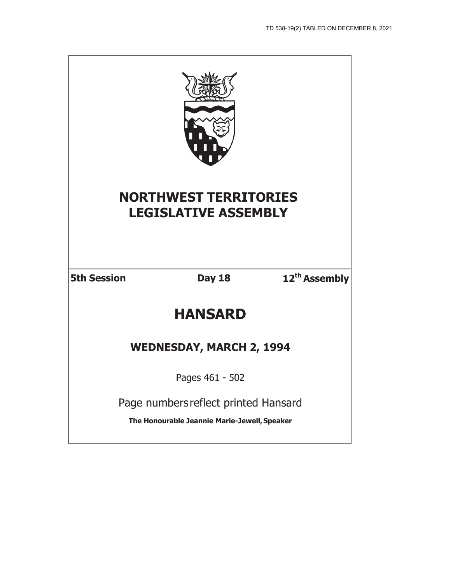